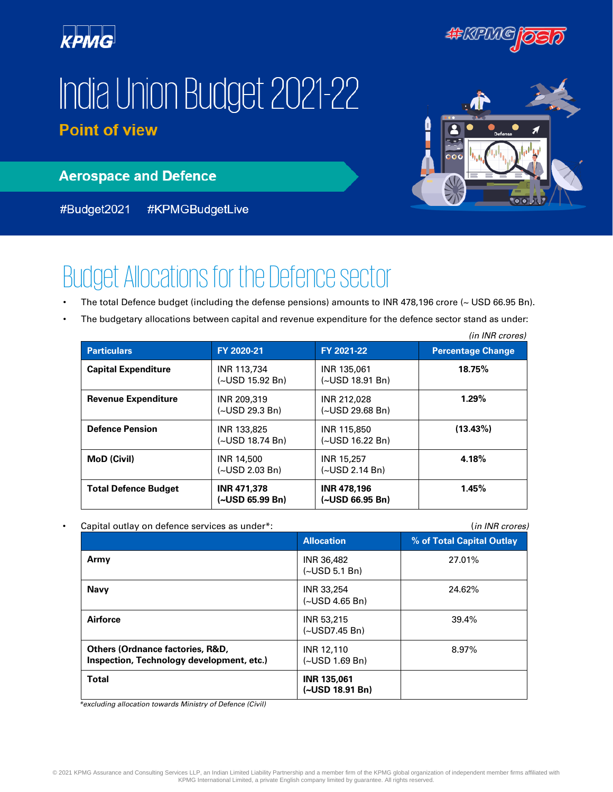

#KRIKO

# India Union Budget 2021-22 **Point of view**



**Aerospace and Defence** 

#KPMGBudgetLive #Budget2021

## Budget Allocations for the Defence sector

- The total Defence budget (including the defense pensions) amounts to INR 478,196 crore (~ USD 66.95 Bn).
- The budgetary allocations between capital and revenue expenditure for the defence sector stand as under:

|                             |                                         |                                         | (in INR crores)          |
|-----------------------------|-----------------------------------------|-----------------------------------------|--------------------------|
| <b>Particulars</b>          | FY 2020-21                              | FY 2021-22                              | <b>Percentage Change</b> |
| <b>Capital Expenditure</b>  | INR 113,734<br>$(\sim USD 15.92 Bn)$    | INR 135,061<br>$(\sim USD 18.91 Bn)$    | 18.75%                   |
| <b>Revenue Expenditure</b>  | INR 209.319<br>(~USD 29.3 Bn)           | INR 212.028<br>$(\sim USD 29.68 Bn)$    | 1.29%                    |
| <b>Defence Pension</b>      | INR 133,825<br>(~USD 18.74 Bn)          | INR 115,850<br>$(\sim USD 16.22 Bn)$    | $(13.43\%)$              |
| <b>MoD</b> (Civil)          | INR 14,500<br>$(\sim USD 2.03 Bn)$      | <b>INR 15,257</b><br>$(-USD 2.14 Bn)$   | 4.18%                    |
| <b>Total Defence Budget</b> | <b>INR 471,378</b><br>$(-USD 65.99 Bn)$ | <b>INR 478,196</b><br>$(-USD 66.95 Bn)$ | 1.45%                    |

| Capital outlay on defence services as under*:                                            |                                       |                           |  |
|------------------------------------------------------------------------------------------|---------------------------------------|---------------------------|--|
|                                                                                          | <b>Allocation</b>                     | % of Total Capital Outlay |  |
| Army                                                                                     | INR 36,482<br>(~USD 5.1 Bn)           | 27.01%                    |  |
| <b>Navy</b>                                                                              | INR 33,254<br>(~USD 4.65 Bn)          | 24.62%                    |  |
| Airforce                                                                                 | INR 53,215<br>(~USD7.45 Bn)           | 39.4%                     |  |
| <b>Others (Ordnance factories, R&amp;D,</b><br>Inspection, Technology development, etc.) | INR 12,110<br>(~USD 1.69 Bn)          | 8.97%                     |  |
| <b>Total</b>                                                                             | <b>INR 135,061</b><br>(~USD 18.91 Bn) |                           |  |

*\*excluding allocation towards Ministry of Defence (Civil)*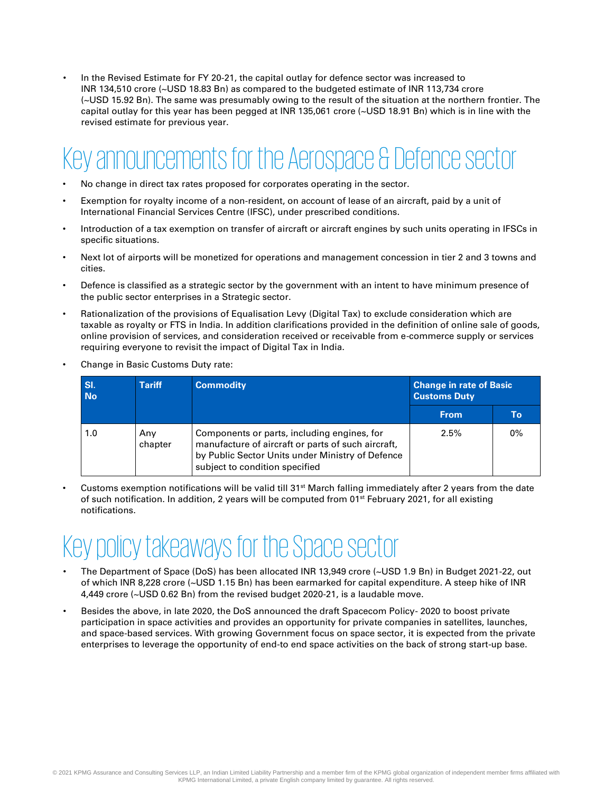• In the Revised Estimate for FY 20-21, the capital outlay for defence sector was increased to INR 134,510 crore (~USD 18.83 Bn) as compared to the budgeted estimate of INR 113,734 crore (~USD 15.92 Bn). The same was presumably owing to the result of the situation at the northern frontier. The capital outlay for this year has been pegged at INR 135,061 crore (~USD 18.91 Bn) which is in line with the revised estimate for previous year.

#### Key announcements for the Aerospace & Defence sector

- No change in direct tax rates proposed for corporates operating in the sector.
- Exemption for royalty income of a non-resident, on account of lease of an aircraft, paid by a unit of International Financial Services Centre (IFSC), under prescribed conditions.
- Introduction of a tax exemption on transfer of aircraft or aircraft engines by such units operating in IFSCs in specific situations.
- Next lot of airports will be monetized for operations and management concession in tier 2 and 3 towns and cities.
- Defence is classified as a strategic sector by the government with an intent to have minimum presence of the public sector enterprises in a Strategic sector.
- Rationalization of the provisions of Equalisation Levy (Digital Tax) to exclude consideration which are taxable as royalty or FTS in India. In addition clarifications provided in the definition of online sale of goods, online provision of services, and consideration received or receivable from e-commerce supply or services requiring everyone to revisit the impact of Digital Tax in India.
- Change in Basic Customs Duty rate:

| SI.<br><b>No</b> | <b>Tariff</b><br><b>Commodity</b> |                                                                                                                                                                                         | <b>Change in rate of Basic</b><br><b>Customs Duty</b> |    |
|------------------|-----------------------------------|-----------------------------------------------------------------------------------------------------------------------------------------------------------------------------------------|-------------------------------------------------------|----|
|                  |                                   |                                                                                                                                                                                         | <b>From</b>                                           | To |
| 1.0              | Anv<br>chapter                    | Components or parts, including engines, for<br>manufacture of aircraft or parts of such aircraft,<br>by Public Sector Units under Ministry of Defence<br>subject to condition specified | 2.5%                                                  | 0% |

Customs exemption notifications will be valid till  $31<sup>st</sup>$  March falling immediately after 2 years from the date of such notification. In addition, 2 years will be computed from 01<sup>st</sup> February 2021, for all existing notifications.

### Key policy takeaways for the Space sector

- The Department of Space (DoS) has been allocated INR 13,949 crore (~USD 1.9 Bn) in Budget 2021-22, out of which INR 8,228 crore (~USD 1.15 Bn) has been earmarked for capital expenditure. A steep hike of INR 4,449 crore (~USD 0.62 Bn) from the revised budget 2020-21, is a laudable move.
- Besides the above, in late 2020, the DoS announced the draft Spacecom Policy- 2020 to boost private participation in space activities and provides an opportunity for private companies in satellites, launches, and space-based services. With growing Government focus on space sector, it is expected from the private enterprises to leverage the opportunity of end-to end space activities on the back of strong start-up base.